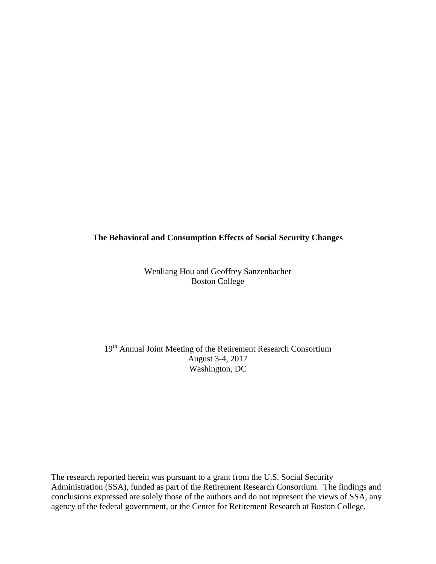## **The Behavioral and Consumption Effects of Social Security Changes**

Wenliang Hou and Geoffrey Sanzenbacher Boston College

19<sup>th</sup> Annual Joint Meeting of the Retirement Research Consortium August 3-4, 2017 Washington, DC

The research reported herein was pursuant to a grant from the U.S. Social Security Administration (SSA), funded as part of the Retirement Research Consortium. The findings and conclusions expressed are solely those of the authors and do not represent the views of SSA, any agency of the federal government, or the Center for Retirement Research at Boston College.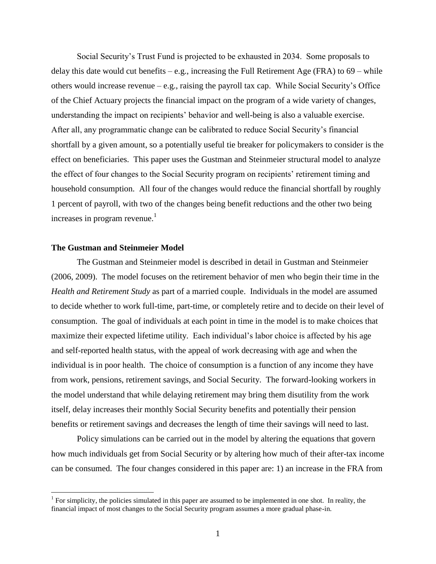Social Security's Trust Fund is projected to be exhausted in 2034. Some proposals to delay this date would cut benefits  $-e.g.,$  increasing the Full Retirement Age (FRA) to  $69 -$  while others would increase revenue – e.g., raising the payroll tax cap. While Social Security's Office of the Chief Actuary projects the financial impact on the program of a wide variety of changes, understanding the impact on recipients' behavior and well-being is also a valuable exercise. After all, any programmatic change can be calibrated to reduce Social Security's financial shortfall by a given amount, so a potentially useful tie breaker for policymakers to consider is the effect on beneficiaries. This paper uses the Gustman and Steinmeier structural model to analyze the effect of four changes to the Social Security program on recipients' retirement timing and household consumption. All four of the changes would reduce the financial shortfall by roughly 1 percent of payroll, with two of the changes being benefit reductions and the other two being increases in program revenue. $<sup>1</sup>$ </sup>

## **The Gustman and Steinmeier Model**

 $\overline{a}$ 

The Gustman and Steinmeier model is described in detail in Gustman and Steinmeier (2006, 2009). The model focuses on the retirement behavior of men who begin their time in the *Health and Retirement Study* as part of a married couple. Individuals in the model are assumed to decide whether to work full-time, part-time, or completely retire and to decide on their level of consumption. The goal of individuals at each point in time in the model is to make choices that maximize their expected lifetime utility. Each individual's labor choice is affected by his age and self-reported health status, with the appeal of work decreasing with age and when the individual is in poor health. The choice of consumption is a function of any income they have from work, pensions, retirement savings, and Social Security. The forward-looking workers in the model understand that while delaying retirement may bring them disutility from the work itself, delay increases their monthly Social Security benefits and potentially their pension benefits or retirement savings and decreases the length of time their savings will need to last.

Policy simulations can be carried out in the model by altering the equations that govern how much individuals get from Social Security or by altering how much of their after-tax income can be consumed. The four changes considered in this paper are: 1) an increase in the FRA from

<sup>&</sup>lt;sup>1</sup> For simplicity, the policies simulated in this paper are assumed to be implemented in one shot. In reality, the financial impact of most changes to the Social Security program assumes a more gradual phase-in.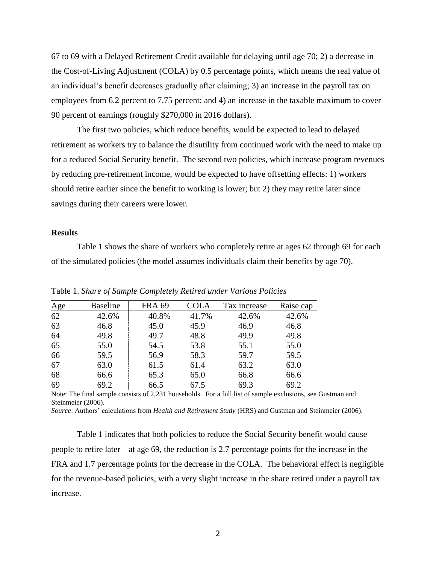67 to 69 with a Delayed Retirement Credit available for delaying until age 70; 2) a decrease in the Cost-of-Living Adjustment (COLA) by 0.5 percentage points, which means the real value of an individual's benefit decreases gradually after claiming; 3) an increase in the payroll tax on employees from 6.2 percent to 7.75 percent; and 4) an increase in the taxable maximum to cover 90 percent of earnings (roughly \$270,000 in 2016 dollars).

The first two policies, which reduce benefits, would be expected to lead to delayed retirement as workers try to balance the disutility from continued work with the need to make up for a reduced Social Security benefit. The second two policies, which increase program revenues by reducing pre-retirement income, would be expected to have offsetting effects: 1) workers should retire earlier since the benefit to working is lower; but 2) they may retire later since savings during their careers were lower.

## **Results**

Table 1 shows the share of workers who completely retire at ages 62 through 69 for each of the simulated policies (the model assumes individuals claim their benefits by age 70).

| Age | <b>Baseline</b> | <b>FRA 69</b> | <b>COLA</b> | Tax increase | Raise cap |
|-----|-----------------|---------------|-------------|--------------|-----------|
| 62  | 42.6%           | 40.8%         | 41.7%       | 42.6%        | 42.6%     |
| 63  | 46.8            | 45.0          | 45.9        | 46.9         | 46.8      |
| 64  | 49.8            | 49.7          | 48.8        | 49.9         | 49.8      |
| 65  | 55.0            | 54.5          | 53.8        | 55.1         | 55.0      |
| 66  | 59.5            | 56.9          | 58.3        | 59.7         | 59.5      |
| 67  | 63.0            | 61.5          | 61.4        | 63.2         | 63.0      |
| 68  | 66.6            | 65.3          | 65.0        | 66.8         | 66.6      |
| 69  | 69.2            | 66.5          | 67.5        | 69.3         | 69.2      |

Table 1. *Share of Sample Completely Retired under Various Policies*

Note: The final sample consists of 2,231 households. For a full list of sample exclusions, see Gustman and Steinmeier (2006).

*Source*: Authors' calculations from *Health and Retirement Study* (HRS) and Gustman and Steinmeier (2006).

Table 1 indicates that both policies to reduce the Social Security benefit would cause people to retire later – at age 69, the reduction is 2.7 percentage points for the increase in the FRA and 1.7 percentage points for the decrease in the COLA. The behavioral effect is negligible for the revenue-based policies, with a very slight increase in the share retired under a payroll tax increase.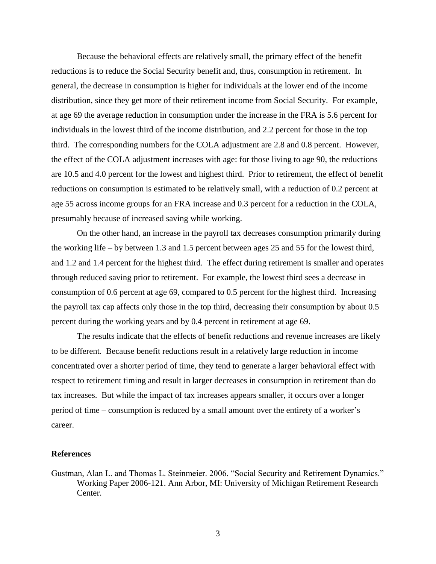Because the behavioral effects are relatively small, the primary effect of the benefit reductions is to reduce the Social Security benefit and, thus, consumption in retirement. In general, the decrease in consumption is higher for individuals at the lower end of the income distribution, since they get more of their retirement income from Social Security. For example, at age 69 the average reduction in consumption under the increase in the FRA is 5.6 percent for individuals in the lowest third of the income distribution, and 2.2 percent for those in the top third. The corresponding numbers for the COLA adjustment are 2.8 and 0.8 percent. However, the effect of the COLA adjustment increases with age: for those living to age 90, the reductions are 10.5 and 4.0 percent for the lowest and highest third. Prior to retirement, the effect of benefit reductions on consumption is estimated to be relatively small, with a reduction of 0.2 percent at age 55 across income groups for an FRA increase and 0.3 percent for a reduction in the COLA, presumably because of increased saving while working.

On the other hand, an increase in the payroll tax decreases consumption primarily during the working life – by between 1.3 and 1.5 percent between ages 25 and 55 for the lowest third, and 1.2 and 1.4 percent for the highest third. The effect during retirement is smaller and operates through reduced saving prior to retirement. For example, the lowest third sees a decrease in consumption of 0.6 percent at age 69, compared to 0.5 percent for the highest third. Increasing the payroll tax cap affects only those in the top third, decreasing their consumption by about 0.5 percent during the working years and by 0.4 percent in retirement at age 69.

The results indicate that the effects of benefit reductions and revenue increases are likely to be different. Because benefit reductions result in a relatively large reduction in income concentrated over a shorter period of time, they tend to generate a larger behavioral effect with respect to retirement timing and result in larger decreases in consumption in retirement than do tax increases. But while the impact of tax increases appears smaller, it occurs over a longer period of time – consumption is reduced by a small amount over the entirety of a worker's career.

## **References**

Gustman, Alan L. and Thomas L. Steinmeier. 2006. "Social Security and Retirement Dynamics." Working Paper 2006-121. Ann Arbor, MI: University of Michigan Retirement Research Center.